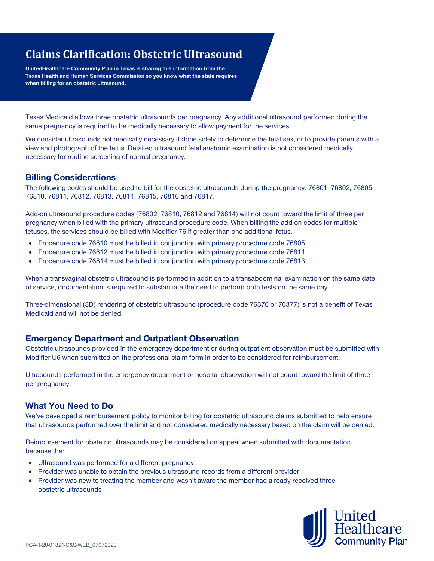# **Claims Clarification: Obstetric Ultrasound**

**UnitedHealthcare Community Plan in Texas is sharing this information from the Texas Health and Human Services Commission so you know what the state requires when billing for an obstetric ultrasound.**

Texas Medicaid allows three obstetric ultrasounds per pregnancy. Any additional ultrasound performed during the same pregnancy is required to be medically necessary to allow payment for the services.

We consider ultrasounds not medically necessary if done solely to determine the fetal sex, or to provide parents with a view and photograph of the fetus. Detailed ultrasound fetal anatomic examination is not considered medically necessary for routine screening of normal pregnancy.

#### **Billing Considerations**

The following codes should be used to bill for the obstetric ultrasounds during the pregnancy: 76801, 76802, 76805, 76810, 76811, 76812, 76813, 76814, 76815, 76816 and 76817.

Add-on ultrasound procedure codes (76802, 76810, 76812 and 76814) will not count toward the limit of three per pregnancy when billed with the primary ultrasound procedure code. When billing the add-on codes for multiple fetuses, the services should be billed with Modifier 76 if greater than one additional fetus.

- Procedure code 76810 must be billed in conjunction with primary procedure code 76805
- Procedure code 76812 must be billed in conjunction with primary procedure code 76811
- Procedure code 76814 must be billed in conjunction with primary procedure code 76813

When a transvaginal obstetric ultrasound is performed in addition to a transabdominal examination on the same date of service, documentation is required to substantiate the need to perform both tests on the same day.

Three-dimensional (3D) rendering of obstetric ultrasound (procedure code 76376 or 76377) is not a benefit of Texas Medicaid and will not be denied.

### **Emergency Department and Outpatient Observation**

Obstetric ultrasounds provided in the emergency department or during outpatient observation must be submitted with Modifier U6 when submitted on the professional claim form in order to be considered for reimbursement.

Ultrasounds performed in the emergency department or hospital observation will not count toward the limit of three per pregnancy.

### **What You Need to Do**

We've developed a reimbursement policy to monitor billing for obstetric ultrasound claims submitted to help ensure that ultrasounds performed over the limit and not considered medically necessary based on the claim will be denied.

Reimbursement for obstetric ultrasounds may be considered on appeal when submitted with documentation because the:

- Ultrasound was performed for a different pregnancy
- Provider was unable to obtain the previous ultrasound records from a different provider
- Provider was new to treating the member and wasn't aware the member had already received three obstetric ultrasounds